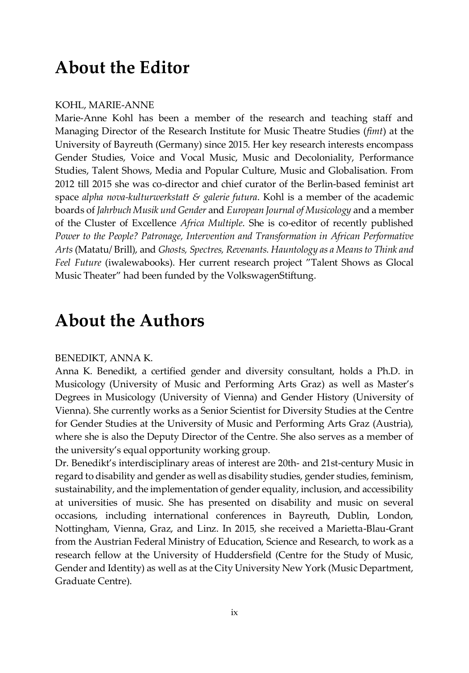# **About the Editor**

#### KOHL, MARIE-ANNE

Marie-Anne Kohl has been a member of the research and teaching staff and Managing Director of the Research Institute for Music Theatre Studies (*fimt*) at the University of Bayreuth (Germany) since 2015. Her key research interests encompass Gender Studies, Voice and Vocal Music, Music and Decoloniality, Performance Studies, Talent Shows, Media and Popular Culture, Music and Globalisation. From 2012 till 2015 she was co-director and chief curator of the Berlin-based feminist art space *alpha nova-kulturwerkstatt & galerie futura*. Kohl is a member of the academic boards of *Jahrbuch Musik und Gender* and *European Journal of Musicology* and a member of the Cluster of Excellence *Africa Multiple*. She is co-editor of recently published *Power to the People? Patronage, Intervention and Transformation in African Performative Arts* (Matatu/ Brill), and *Ghosts, Spectres, Revenants. Hauntology as a Means to Think and Feel Future* (iwalewabooks). Her current research project "Talent Shows as Glocal Music Theater" had been funded by the VolkswagenStiftung.

## **About the Authors**

#### BENEDIKT, ANNA K.

Anna K. Benedikt, a certified gender and diversity consultant, holds a Ph.D. in Musicology (University of Music and Performing Arts Graz) as well as Master's Degrees in Musicology (University of Vienna) and Gender History (University of Vienna). She currently works as a Senior Scientist for Diversity Studies at the Centre for Gender Studies at the University of Music and Performing Arts Graz (Austria), where she is also the Deputy Director of the Centre. She also serves as a member of the university's equal opportunity working group.

Dr. Benedikt's interdisciplinary areas of interest are 20th- and 21st-century Music in regard to disability and gender as well as disability studies, gender studies, feminism, sustainability, and the implementation of gender equality, inclusion, and accessibility at universities of music. She has presented on disability and music on several occasions, including international conferences in Bayreuth, Dublin, London, Nottingham, Vienna, Graz, and Linz. In 2015, she received a Marietta-Blau-Grant from the Austrian Federal Ministry of Education, Science and Research, to work as a research fellow at the University of Huddersfield (Centre for the Study of Music, Gender and Identity) as well as at the City University New York (Music Department, Graduate Centre).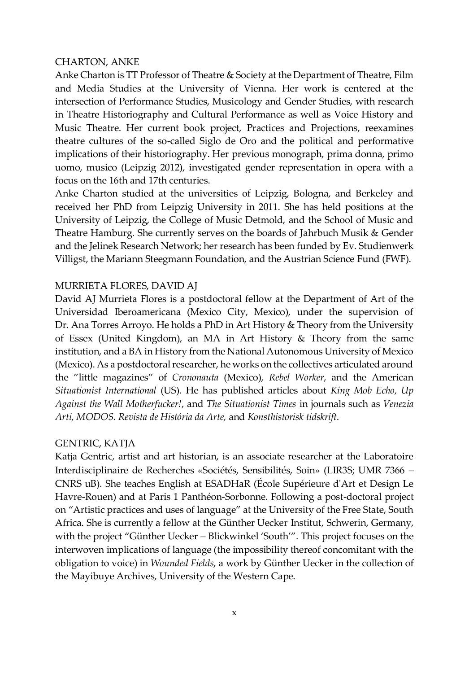#### CHARTON, ANKE

Anke Charton is TT Professor of Theatre & Society at the Department of Theatre, Film and Media Studies at the University of Vienna. Her work is centered at the intersection of Performance Studies, Musicology and Gender Studies, with research in Theatre Historiography and Cultural Performance as well as Voice History and Music Theatre. Her current book project, Practices and Projections, reexamines theatre cultures of the so-called Siglo de Oro and the political and performative implications of their historiography. Her previous monograph, prima donna, primo uomo, musico (Leipzig 2012), investigated gender representation in opera with a focus on the 16th and 17th centuries.

Anke Charton studied at the universities of Leipzig, Bologna, and Berkeley and received her PhD from Leipzig University in 2011. She has held positions at the University of Leipzig, the College of Music Detmold, and the School of Music and Theatre Hamburg. She currently serves on the boards of Jahrbuch Musik & Gender and the Jelinek Research Network; her research has been funded by Ev. Studienwerk Villigst, the Mariann Steegmann Foundation, and the Austrian Science Fund (FWF).

## MURRIETA FLORES, DAVID AJ

David AJ Murrieta Flores is a postdoctoral fellow at the Department of Art of the Universidad Iberoamericana (Mexico City, Mexico), under the supervision of Dr. Ana Torres Arroyo. He holds a PhD in Art History & Theory from the University of Essex (United Kingdom), an MA in Art History & Theory from the same institution, and a BA in History from the National Autonomous University of Mexico (Mexico). As a postdoctoral researcher, he works on the collectives articulated around the "little magazines" of *Crononauta* (Mexico), *Rebel Worker*, and the American *Situationist International* (US). He has published articles about *King Mob Echo, Up Against the Wall Motherfucker!*, and *The Situationist Times* in journals such as *Venezia Arti, MODOS. Revista de História da Arte,* and *Konsthistorisk tidskrift*.

## GENTRIC, KATJA

Katja Gentric, artist and art historian, is an associate researcher at the Laboratoire Interdisciplinaire de Recherches «Sociétés, Sensibilités, Soin» (LIR3S; UMR 7366 – CNRS uB). She teaches English at ESADHaR (École Supérieure d'Art et Design Le Havre-Rouen) and at Paris 1 Panthéon-Sorbonne. Following a post-doctoral project on "Artistic practices and uses of language" at the University of the Free State, South Africa. She is currently a fellow at the Günther Uecker Institut, Schwerin, Germany, with the project "Günther Uecker – Blickwinkel 'South'". This project focuses on the interwoven implications of language (the impossibility thereof concomitant with the obligation to voice) in *Wounded Fields*, a work by Günther Uecker in the collection of the Mayibuye Archives, University of the Western Cape.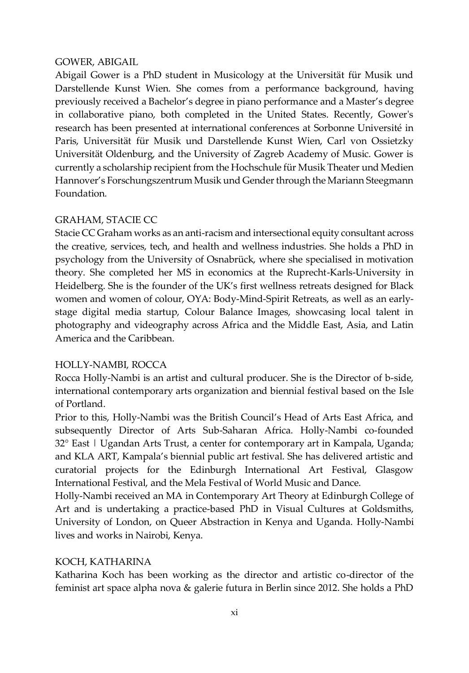## GOWER, ABIGAIL

Abigail Gower is a PhD student in Musicology at the Universität für Musik und Darstellende Kunst Wien. She comes from a performance background, having previously received a Bachelor's degree in piano performance and a Master's degree in collaborative piano, both completed in the United States. Recently, Gower's research has been presented at international conferences at Sorbonne Université in Paris, Universität für Musik und Darstellende Kunst Wien, Carl von Ossietzky Universität Oldenburg, and the University of Zagreb Academy of Music. Gower is currently a scholarship recipient from the Hochschule für Musik Theater und Medien Hannover's Forschungszentrum Musik und Gender through the Mariann Steegmann Foundation.

## GRAHAM, STACIE CC

Stacie CC Graham works as an anti-racism and intersectional equity consultant across the creative, services, tech, and health and wellness industries. She holds a PhD in psychology from the University of Osnabrück, where she specialised in motivation theory. She completed her MS in economics at the Ruprecht-Karls-University in Heidelberg. She is the founder of the UK's first wellness retreats designed for Black women and women of colour, OYA: Body-Mind-Spirit Retreats, as well as an earlystage digital media startup, Colour Balance Images, showcasing local talent in photography and videography across Africa and the Middle East, Asia, and Latin America and the Caribbean.

## HOLLY-NAMBI, ROCCA

Rocca Holly-Nambi is an artist and cultural producer. She is the Director of b-side, international contemporary arts organization and biennial festival based on the Isle of Portland.

Prior to this, Holly-Nambi was the British Council's Head of Arts East Africa, and subsequently Director of Arts Sub-Saharan Africa. Holly-Nambi co-founded 32° East | Ugandan Arts Trust, a center for contemporary art in Kampala, Uganda; and KLA ART, Kampala's biennial public art festival. She has delivered artistic and curatorial projects for the Edinburgh International Art Festival, Glasgow International Festival, and the Mela Festival of World Music and Dance.

Holly-Nambi received an MA in Contemporary Art Theory at Edinburgh College of Art and is undertaking a practice-based PhD in Visual Cultures at Goldsmiths, University of London, on Queer Abstraction in Kenya and Uganda. Holly-Nambi lives and works in Nairobi, Kenya.

## KOCH, KATHARINA

Katharina Koch has been working as the director and artistic co-director of the feminist art space alpha nova & galerie futura in Berlin since 2012. She holds a PhD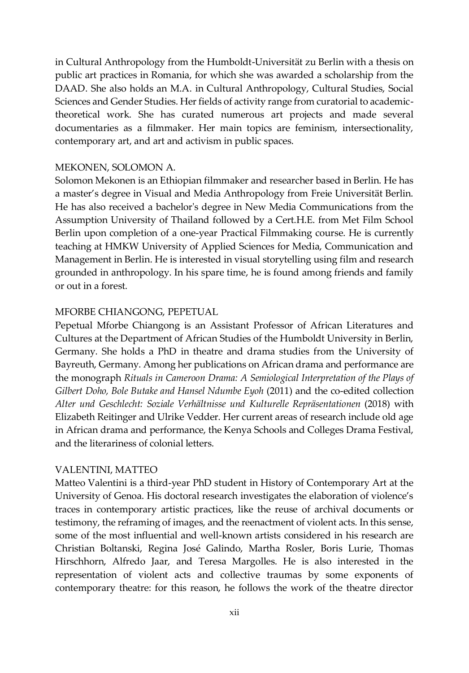in Cultural Anthropology from the Humboldt-Universität zu Berlin with a thesis on public art practices in Romania, for which she was awarded a scholarship from the DAAD. She also holds an M.A. in Cultural Anthropology, Cultural Studies, Social Sciences and Gender Studies. Her fields of activity range from curatorial to academictheoretical work. She has curated numerous art projects and made several documentaries as a filmmaker. Her main topics are feminism, intersectionality, contemporary art, and art and activism in public spaces.

#### MEKONEN, SOLOMON A.

Solomon Mekonen is an Ethiopian filmmaker and researcher based in Berlin. He has a master's degree in Visual and Media Anthropology from Freie Universität Berlin. He has also received a bachelor's degree in New Media Communications from the Assumption University of Thailand followed by a Cert.H.E. from Met Film School Berlin upon completion of a one-year Practical Filmmaking course. He is currently teaching at HMKW University of Applied Sciences for Media, Communication and Management in Berlin. He is interested in visual storytelling using film and research grounded in anthropology. In his spare time, he is found among friends and family or out in a forest.

#### MFORBE CHIANGONG, PEPETUAL

Pepetual Mforbe Chiangong is an Assistant Professor of African Literatures and Cultures at the Department of African Studies of the Humboldt University in Berlin, Germany. She holds a PhD in theatre and drama studies from the University of Bayreuth, Germany. Among her publications on African drama and performance are the monograph *Rituals in Cameroon Drama: A Semiological Interpretation of the Plays of Gilbert Doho, Bole Butake and Hansel Ndumbe Eyoh* (2011) and the co-edited collection *Alter und Geschlecht: Soziale Verhältnisse und Kulturelle Repräsentationen* (2018) with Elizabeth Reitinger and Ulrike Vedder. Her current areas of research include old age in African drama and performance, the Kenya Schools and Colleges Drama Festival, and the literariness of colonial letters.

#### VALENTINI, MATTEO

Matteo Valentini is a third-year PhD student in History of Contemporary Art at the University of Genoa. His doctoral research investigates the elaboration of violence's traces in contemporary artistic practices, like the reuse of archival documents or testimony, the reframing of images, and the reenactment of violent acts. In this sense, some of the most influential and well-known artists considered in his research are Christian Boltanski, Regina José Galindo, Martha Rosler, Boris Lurie, Thomas Hirschhorn, Alfredo Jaar, and Teresa Margolles. He is also interested in the representation of violent acts and collective traumas by some exponents of contemporary theatre: for this reason, he follows the work of the theatre director